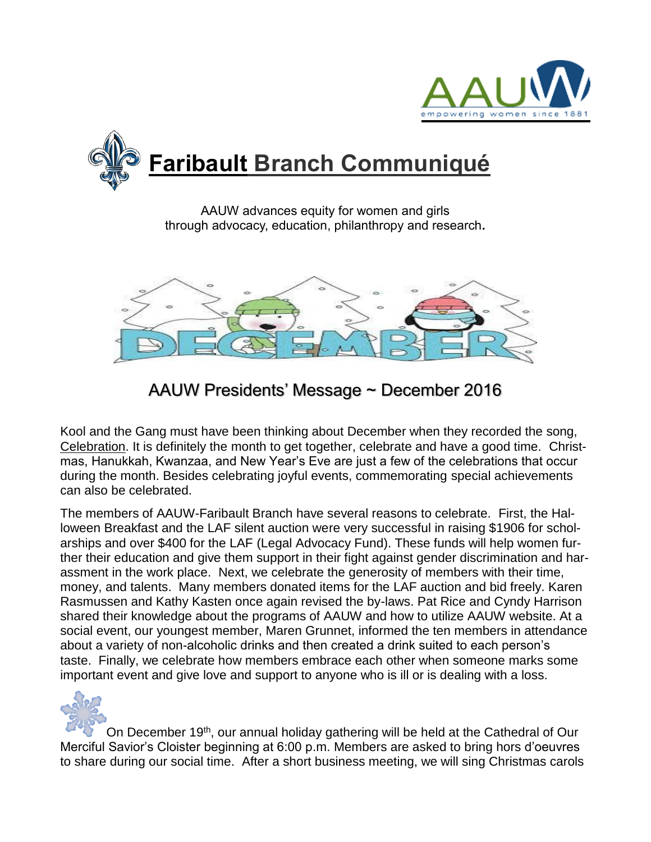



AAUW advances equity for women and girls through advocacy, education, philanthropy and research**.**



# AAUW Presidents' Message ~ December 2016

Kool and the Gang must have been thinking about December when they recorded the song, Celebration. It is definitely the month to get together, celebrate and have a good time. Christmas, Hanukkah, Kwanzaa, and New Year's Eve are just a few of the celebrations that occur during the month. Besides celebrating joyful events, commemorating special achievements can also be celebrated.

The members of AAUW-Faribault Branch have several reasons to celebrate. First, the Halloween Breakfast and the LAF silent auction were very successful in raising \$1906 for scholarships and over \$400 for the LAF (Legal Advocacy Fund). These funds will help women further their education and give them support in their fight against gender discrimination and harassment in the work place. Next, we celebrate the generosity of members with their time, money, and talents. Many members donated items for the LAF auction and bid freely. Karen Rasmussen and Kathy Kasten once again revised the by-laws. Pat Rice and Cyndy Harrison shared their knowledge about the programs of AAUW and how to utilize AAUW website. At a social event, our youngest member, Maren Grunnet, informed the ten members in attendance about a variety of non-alcoholic drinks and then created a drink suited to each person's taste. Finally, we celebrate how members embrace each other when someone marks some important event and give love and support to anyone who is ill or is dealing with a loss.



On December 19th, our annual holiday gathering will be held at the Cathedral of Our Merciful Savior's Cloister beginning at 6:00 p.m. Members are asked to bring hors d'oeuvres to share during our social time. After a short business meeting, we will sing Christmas carols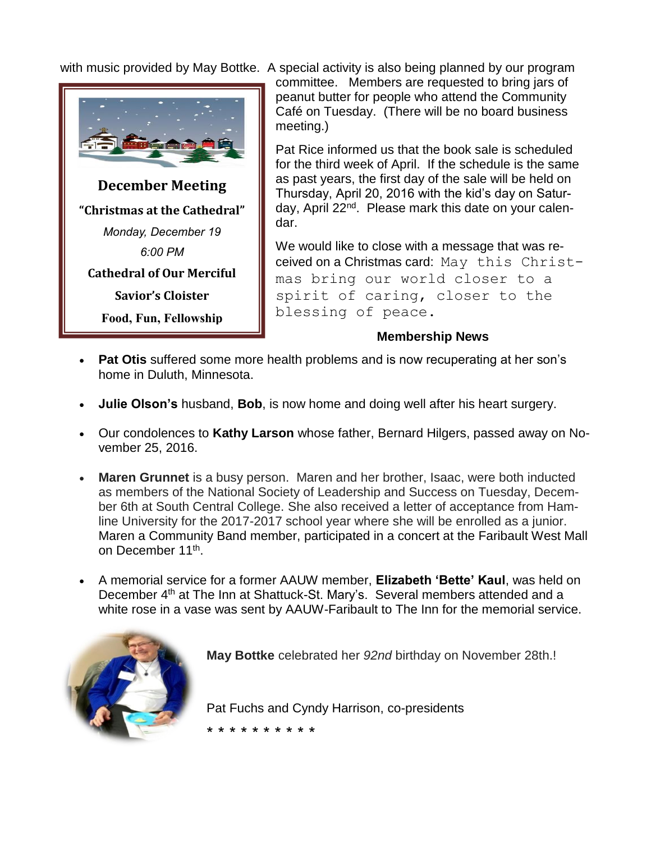

with music provided by May Bottke. A special activity is also being planned by our program

committee. Members are requested to bring jars of peanut butter for people who attend the Community Café on Tuesday. (There will be no board business meeting.)

Pat Rice informed us that the book sale is scheduled for the third week of April. If the schedule is the same as past years, the first day of the sale will be held on Thursday, April 20, 2016 with the kid's day on Saturday, April 22<sup>nd</sup>. Please mark this date on your calendar.

We would like to close with a message that was received on a Christmas card: May this Christmas bring our world closer to a spirit of caring, closer to the blessing of peace.

#### **Membership News**

- **Pat Otis** suffered some more health problems and is now recuperating at her son's home in Duluth, Minnesota.
- **Julie Olson's** husband, **Bob**, is now home and doing well after his heart surgery.
- Our condolences to **Kathy Larson** whose father, Bernard Hilgers, passed away on November 25, 2016.
- **Maren Grunnet** is a busy person. Maren and her brother, Isaac, were both inducted as members of the National Society of Leadership and Success on Tuesday, December 6th at South Central College. She also received a letter of acceptance from Hamline University for the 2017-2017 school year where she will be enrolled as a junior. Maren a Community Band member, participated in a concert at the Faribault West Mall on December 11<sup>th</sup>.
- A memorial service for a former AAUW member, **Elizabeth 'Bette' Kaul**, was held on December 4<sup>th</sup> at The Inn at Shattuck-St. Mary's. Several members attended and a white rose in a vase was sent by AAUW-Faribault to The Inn for the memorial service.



**May Bottke** celebrated her *92nd* birthday on November 28th.!

Pat Fuchs and Cyndy Harrison, co-presidents

\* \* \* \* \* \* \* \* \* \*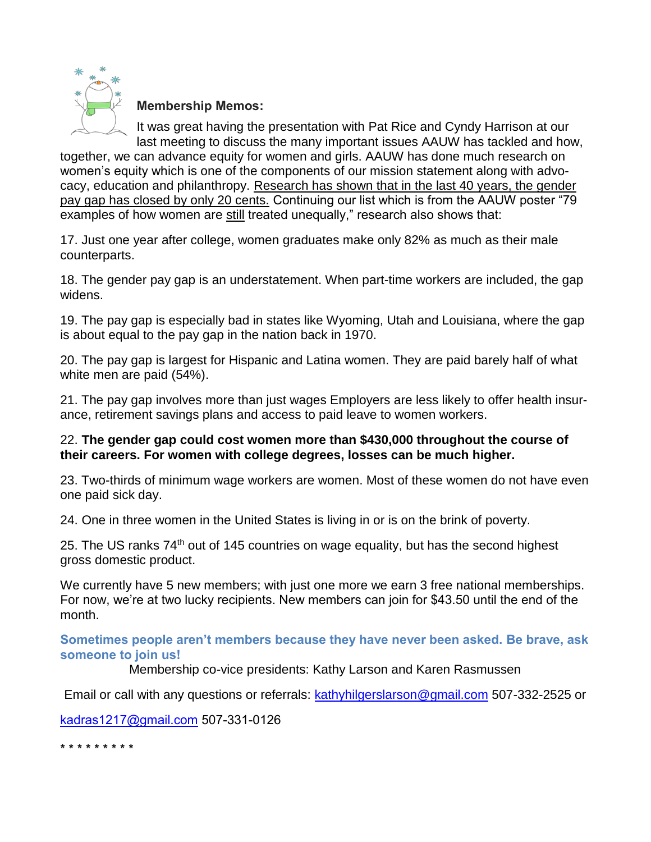

**Membership Memos:**

It was great having the presentation with Pat Rice and Cyndy Harrison at our last meeting to discuss the many important issues AAUW has tackled and how,

together, we can advance equity for women and girls. AAUW has done much research on women's equity which is one of the components of our mission statement along with advocacy, education and philanthropy. Research has shown that in the last 40 years, the gender pay gap has closed by only 20 cents. Continuing our list which is from the AAUW poster "79 examples of how women are still treated unequally," research also shows that:

17. Just one year after college, women graduates make only 82% as much as their male counterparts.

18. The gender pay gap is an understatement. When part-time workers are included, the gap widens.

19. The pay gap is especially bad in states like Wyoming, Utah and Louisiana, where the gap is about equal to the pay gap in the nation back in 1970.

20. The pay gap is largest for Hispanic and Latina women. They are paid barely half of what white men are paid (54%).

21. The pay gap involves more than just wages Employers are less likely to offer health insurance, retirement savings plans and access to paid leave to women workers.

### 22. **The gender gap could cost women more than \$430,000 throughout the course of their careers. For women with college degrees, losses can be much higher.**

23. Two-thirds of minimum wage workers are women. Most of these women do not have even one paid sick day.

24. One in three women in the United States is living in or is on the brink of poverty.

25. The US ranks 74<sup>th</sup> out of 145 countries on wage equality, but has the second highest gross domestic product.

We currently have 5 new members; with just one more we earn 3 free national memberships. For now, we're at two lucky recipients. New members can join for \$43.50 until the end of the month.

**Sometimes people aren't members because they have never been asked. Be brave, ask someone to join us!**

Membership co-vice presidents: Kathy Larson and Karen Rasmussen

Email or call with any questions or referrals: [kathyhilgerslarson@gmail.com](mailto:kathyhilgerslarson@gmail.com) 507-332-2525 or

[kadras1217@gmail.com](mailto:kadras1217@gmail.com) 507-331-0126

\* \* \* \* \* \* \* \* \*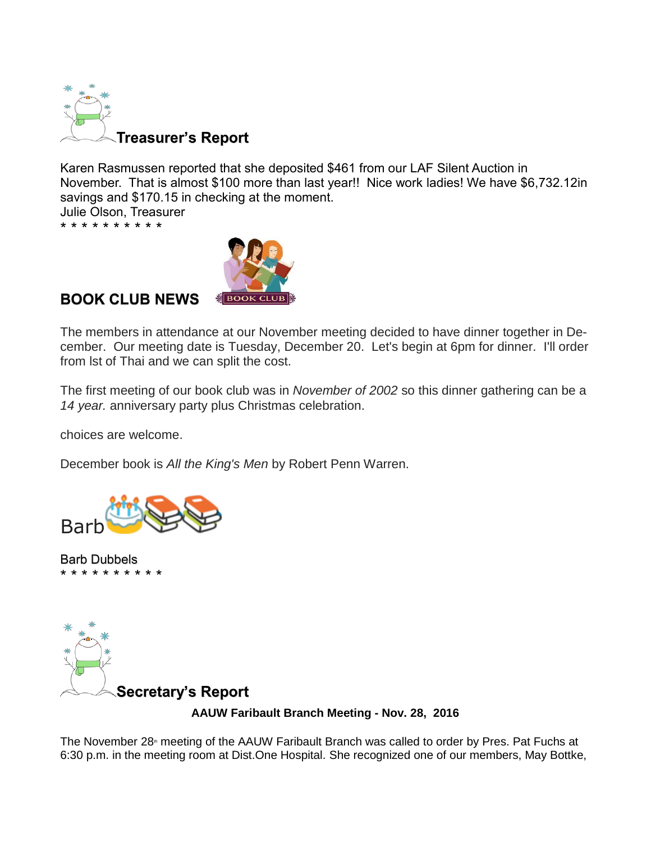

Karen Rasmussen reported that she deposited \$461 from our LAF Silent Auction in November. That is almost \$100 more than last year!! Nice work ladies! We have \$6,732.12in savings and \$170.15 in checking at the moment.

Julie Olson, Treasurer \* \* \* \* \* \* \* \* \* \*



## **BOOK CLUB NEWS**

The members in attendance at our November meeting decided to have dinner together in December. Our meeting date is Tuesday, December 20. Let's begin at 6pm for dinner. I'll order from lst of Thai and we can split the cost.

The first meeting of our book club was in *November of 2002* so this dinner gathering can be a *14 year.* anniversary party plus Christmas celebration.

choices are welcome.

December book is *All the King's Men* by Robert Penn Warren.



Barb Dubbels \* \* \* \* \* \* \* \* \* \*



**AAUW Faribault Branch Meeting - Nov. 28, 2016**

The November 28<sup>th</sup> meeting of the AAUW Faribault Branch was called to order by Pres. Pat Fuchs at 6:30 p.m. in the meeting room at Dist.One Hospital. She recognized one of our members, May Bottke,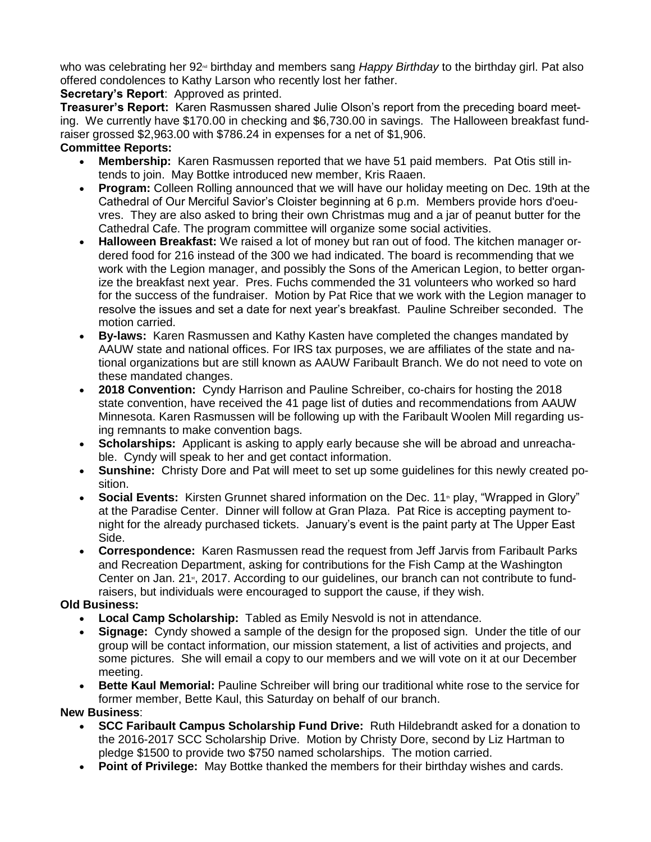who was celebrating her 92<sup>nd</sup> birthday and members sang *Happy Birthday* to the birthday girl. Pat also offered condolences to Kathy Larson who recently lost her father.

#### **Secretary's Report**: Approved as printed.

**Treasurer's Report:** Karen Rasmussen shared Julie Olson's report from the preceding board meeting. We currently have \$170.00 in checking and \$6,730.00 in savings. The Halloween breakfast fundraiser grossed \$2,963.00 with \$786.24 in expenses for a net of \$1,906.

#### **Committee Reports:**

- **Membership:** Karen Rasmussen reported that we have 51 paid members. Pat Otis still intends to join. May Bottke introduced new member, Kris Raaen.
- **Program:** Colleen Rolling announced that we will have our holiday meeting on Dec. 19th at the Cathedral of Our Merciful Savior's Cloister beginning at 6 p.m. Members provide hors d'oeuvres. They are also asked to bring their own Christmas mug and a jar of peanut butter for the Cathedral Cafe. The program committee will organize some social activities.
- **Halloween Breakfast:** We raised a lot of money but ran out of food. The kitchen manager ordered food for 216 instead of the 300 we had indicated. The board is recommending that we work with the Legion manager, and possibly the Sons of the American Legion, to better organize the breakfast next year. Pres. Fuchs commended the 31 volunteers who worked so hard for the success of the fundraiser. Motion by Pat Rice that we work with the Legion manager to resolve the issues and set a date for next year's breakfast. Pauline Schreiber seconded. The motion carried.
- **By-laws:** Karen Rasmussen and Kathy Kasten have completed the changes mandated by AAUW state and national offices. For IRS tax purposes, we are affiliates of the state and national organizations but are still known as AAUW Faribault Branch. We do not need to vote on these mandated changes.
- **2018 Convention:** Cyndy Harrison and Pauline Schreiber, co-chairs for hosting the 2018 state convention, have received the 41 page list of duties and recommendations from AAUW Minnesota. Karen Rasmussen will be following up with the Faribault Woolen Mill regarding using remnants to make convention bags.
- **Scholarships:** Applicant is asking to apply early because she will be abroad and unreachable. Cyndy will speak to her and get contact information.
- **Sunshine:** Christy Dore and Pat will meet to set up some guidelines for this newly created position.
- **Social Events:** Kirsten Grunnet shared information on the Dec. 11<sup>th</sup> play, "Wrapped in Glory" at the Paradise Center. Dinner will follow at Gran Plaza. Pat Rice is accepting payment tonight for the already purchased tickets. January's event is the paint party at The Upper East Side.
- **Correspondence:** Karen Rasmussen read the request from Jeff Jarvis from Faribault Parks and Recreation Department, asking for contributions for the Fish Camp at the Washington Center on Jan. 21<sup>st</sup>, 2017. According to our guidelines, our branch can not contribute to fundraisers, but individuals were encouraged to support the cause, if they wish.

#### **Old Business:**

- **Local Camp Scholarship:** Tabled as Emily Nesvold is not in attendance.
- **Signage:** Cyndy showed a sample of the design for the proposed sign. Under the title of our group will be contact information, our mission statement, a list of activities and projects, and some pictures. She will email a copy to our members and we will vote on it at our December meeting.
- **Bette Kaul Memorial:** Pauline Schreiber will bring our traditional white rose to the service for former member, Bette Kaul, this Saturday on behalf of our branch.

#### **New Business**:

- **SCC Faribault Campus Scholarship Fund Drive:** Ruth Hildebrandt asked for a donation to the 2016-2017 SCC Scholarship Drive. Motion by Christy Dore, second by Liz Hartman to pledge \$1500 to provide two \$750 named scholarships. The motion carried.
- **Point of Privilege:** May Bottke thanked the members for their birthday wishes and cards.